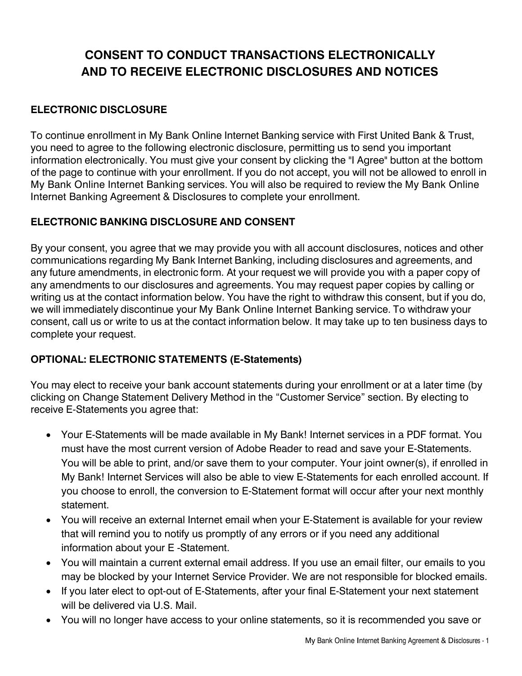# **CONSENT TO CONDUCT TRANSACTIONS ELECTRONICALLY AND TO RECEIVE ELECTRONIC DISCLOSURES AND NOTICES**

## **ELECTRONIC DISCLOSURE**

To continue enrollment in My Bank Online Internet Banking service with First United Bank & Trust, you need to agree to the following electronic disclosure, permitting us to send you important information electronically. You must give your consent by clicking the "I Agree" button at the bottom of the page to continue with your enrollment. If you do not accept, you will not be allowed to enroll in My Bank Online Internet Banking services. You will also be required to review the My Bank Online Internet Banking Agreement & Disclosures to complete your enrollment.

## **ELECTRONIC BANKING DISCLOSURE AND CONSENT**

By your consent, you agree that we may provide you with all account disclosures, notices and other communications regarding My Bank Internet Banking, including disclosures and agreements, and any future amendments, in electronic form. At your request we will provide you with a paper copy of any amendments to our disclosures and agreements. You may request paper copies by calling or writing us at the contact information below. You have the right to withdraw this consent, but if you do, we will immediately discontinue your My Bank Online Internet Banking service. To withdraw your consent, call us or write to us at the contact information below. It may take up to ten business days to complete your request.

## **OPTIONAL: ELECTRONIC STATEMENTS (E-Statements)**

You may elect to receive your bank account statements during your enrollment or at a later time (by clicking on Change Statement Delivery Method in the "Customer Service" section. By electing to receive E-Statements you agree that:

- Your E-Statements will be made available in My Bank! Internet services in a PDF format. You must have the most current version of Adobe Reader to read and save your E-Statements. You will be able to print, and/or save them to your computer. Your joint owner(s), if enrolled in My Bank! Internet Services will also be able to view E-Statements for each enrolled account. If you choose to enroll, the conversion to E-Statement format will occur after your next monthly statement.
- You will receive an external Internet email when your E-Statement is available for your review that will remind you to notify us promptly of any errors or if you need any additional information about your E -Statement.
- You will maintain a current external email address. If you use an email filter, our emails to you may be blocked by your Internet Service Provider. We are not responsible for blocked emails.
- If you later elect to opt-out of E-Statements, after your final E-Statement your next statement will be delivered via U.S. Mail.
- You will no longer have access to your online statements, so it is recommended you save or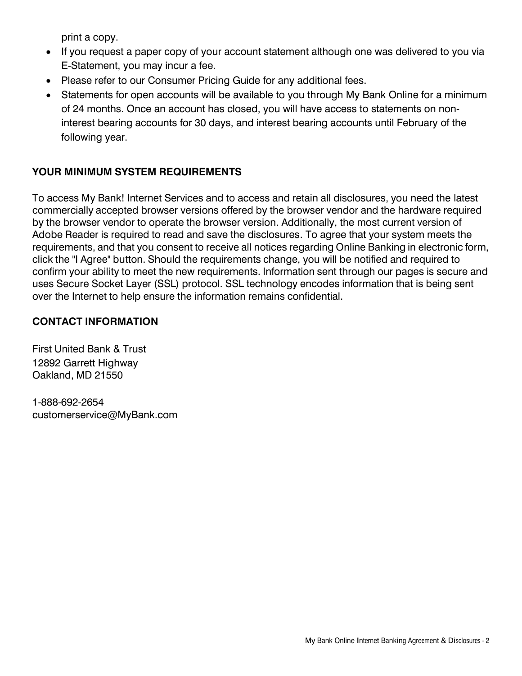print a copy.

- If you request a paper copy of your account statement although one was delivered to you via E-Statement, you may incur a fee.
- Please refer to our Consumer Pricing Guide for any additional fees.
- Statements for open accounts will be available to you through My Bank Online for a minimum of 24 months. Once an account has closed, you will have access to statements on noninterest bearing accounts for 30 days, and interest bearing accounts until February of the following year.

## **YOUR MINIMUM SYSTEM REQUIREMENTS**

To access My Bank! Internet Services and to access and retain all disclosures, you need the latest commercially accepted browser versions offered by the browser vendor and the hardware required by the browser vendor to operate the browser version. Additionally, the most current version of Adobe Reader is required to read and save the disclosures. To agree that your system meets the requirements, and that you consent to receive all notices regarding Online Banking in electronic form, click the "I Agree" button. Should the requirements change, you will be notified and required to confirm your ability to meet the new requirements. Information sent through our pages is secure and uses Secure Socket Layer (SSL) protocol. SSL technology encodes information that is being sent over the Internet to help ensure the information remains confidential.

## **CONTACT INFORMATION**

First United Bank & Trust 12892 Garrett Highway Oakland, MD 21550

1-888-692-2654 customerservice@MyBank.com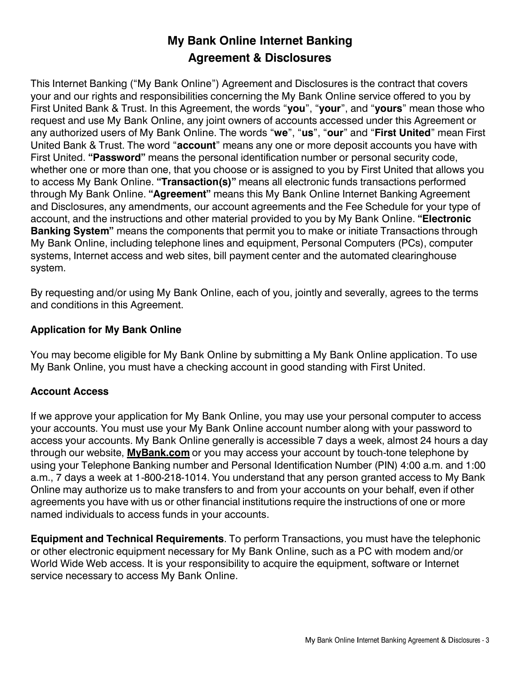## **My Bank Online Internet Banking Agreement & Disclosures**

This Internet Banking ("My Bank Online") Agreement and Disclosures is the contract that covers your and our rights and responsibilities concerning the My Bank Online service offered to you by First United Bank & Trust. In this Agreement, the words "**you**", "**your**", and "**yours**" mean those who request and use My Bank Online, any joint owners of accounts accessed under this Agreement or any authorized users of My Bank Online. The words "**we**", "**us**", "**our**" and "**First United**" mean First United Bank & Trust. The word "**account**" means any one or more deposit accounts you have with First United. **"Password"** means the personal identification number or personal security code, whether one or more than one, that you choose or is assigned to you by First United that allows you to access My Bank Online. **"Transaction(s)"** means all electronic funds transactions performed through My Bank Online. **"Agreement"** means this My Bank Online Internet Banking Agreement and Disclosures, any amendments, our account agreements and the Fee Schedule for your type of account, and the instructions and other material provided to you by My Bank Online. **"Electronic Banking System"** means the components that permit you to make or initiate Transactions through My Bank Online, including telephone lines and equipment, Personal Computers (PCs), computer systems, Internet access and web sites, bill payment center and the automated clearinghouse system.

By requesting and/or using My Bank Online, each of you, jointly and severally, agrees to the terms and conditions in this Agreement.

#### **Application for My Bank Online**

You may become eligible for My Bank Online by submitting a My Bank Online application. To use My Bank Online, you must have a checking account in good standing with First United.

#### **Account Access**

If we approve your application for My Bank Online, you may use your personal computer to access your accounts. You must use your My Bank Online account number along with your password to access your accounts. My Bank Online generally is accessible 7 days a week, almost 24 hours a day through our website, **MyBank.com** or you may access your account by touch-tone telephone by using your Telephone Banking number and Personal Identification Number (PIN) 4:00 a.m. and 1:00 a.m., 7 days a week at 1-800-218-1014. You understand that any person granted access to My Bank Online may authorize us to make transfers to and from your accounts on your behalf, even if other agreements you have with us or other financial institutions require the instructions of one or more named individuals to access funds in your accounts.

**Equipment and Technical Requirements**. To perform Transactions, you must have the telephonic or other electronic equipment necessary for My Bank Online, such as a PC with modem and/or World Wide Web access. It is your responsibility to acquire the equipment, software or Internet service necessary to access My Bank Online.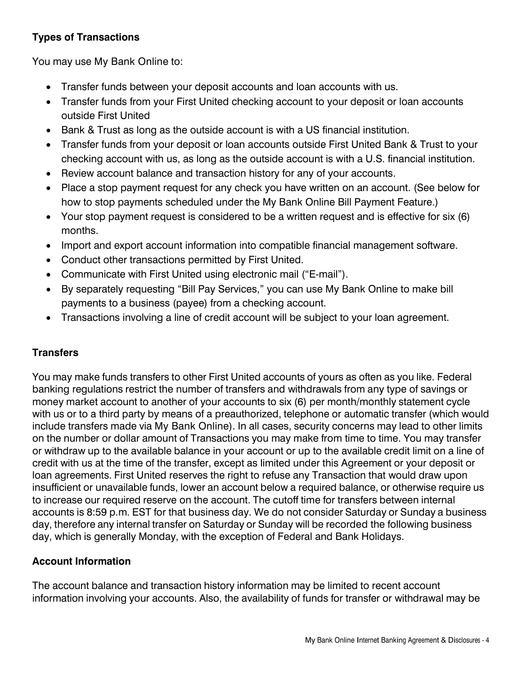## **Types of Transactions**

You may use My Bank Online to:

- Transfer funds between your deposit accounts and loan accounts with us.
- Transfer funds from your First United checking account to your deposit or loan accounts outside First United
- Bank & Trust as long as the outside account is with a US financial institution.
- Transfer funds from your deposit or loan accounts outside First United Bank & Trust to your checking account with us, as long as the outside account is with a U.S. financial institution.
- Review account balance and transaction history for any of your accounts.
- Place a stop payment request for any check you have written on an account. (See below for how to stop payments scheduled under the My Bank Online Bill Payment Feature.)
- Your stop payment request is considered to be a written request and is effective for six (6) months.
- Import and export account information into compatible financial management software.
- Conduct other transactions permitted by First United.
- Communicate with First United using electronic mail ("E-mail").
- By separately requesting "Bill Pay Services," you can use My Bank Online to make bill payments to a business (payee) from a checking account.
- Transactions involving a line of credit account will be subject to your loan agreement.

## **Transfers**

You may make funds transfers to other First United accounts of yours as often as you like. Federal banking regulations restrict the number of transfers and withdrawals from any type of savings or money market account to another of your accounts to six (6) per month/monthly statement cycle with us or to a third party by means of a preauthorized, telephone or automatic transfer (which would include transfers made via My Bank Online). In all cases, security concerns may lead to other limits on the number or dollar amount of Transactions you may make from time to time. You may transfer or withdraw up to the available balance in your account or up to the available credit limit on a line of credit with us at the time of the transfer, except as limited under this Agreement or your deposit or loan agreements. First United reserves the right to refuse any Transaction that would draw upon insufficient or unavailable funds, lower an account below a required balance, or otherwise require us to increase our required reserve on the account. The cutoff time for transfers between internal accounts is 8:59 p.m. EST for that business day. We do not consider Saturday or Sunday a business day, therefore any internal transfer on Saturday or Sunday will be recorded the following business day, which is generally Monday, with the exception of Federal and Bank Holidays.

#### **Account Information**

The account balance and transaction history information may be limited to recent account information involving your accounts. Also, the availability of funds for transfer or withdrawal may be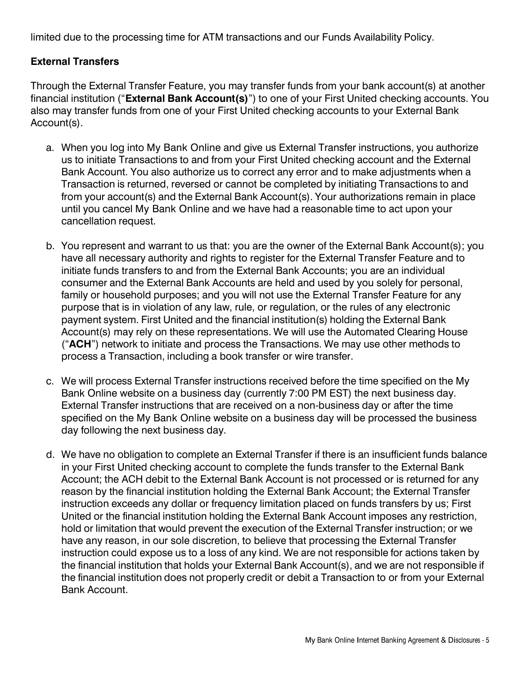limited due to the processing time for ATM transactions and our Funds Availability Policy.

#### **External Transfers**

Through the External Transfer Feature, you may transfer funds from your bank account(s) at another financial institution ("**External Bank Account(s)**") to one of your First United checking accounts. You also may transfer funds from one of your First United checking accounts to your External Bank Account(s).

- a. When you log into My Bank Online and give us External Transfer instructions, you authorize us to initiate Transactions to and from your First United checking account and the External Bank Account. You also authorize us to correct any error and to make adjustments when a Transaction is returned, reversed or cannot be completed by initiating Transactions to and from your account(s) and the External Bank Account(s). Your authorizations remain in place until you cancel My Bank Online and we have had a reasonable time to act upon your cancellation request.
- b. You represent and warrant to us that: you are the owner of the External Bank Account(s); you have all necessary authority and rights to register for the External Transfer Feature and to initiate funds transfers to and from the External Bank Accounts; you are an individual consumer and the External Bank Accounts are held and used by you solely for personal, family or household purposes; and you will not use the External Transfer Feature for any purpose that is in violation of any law, rule, or regulation, or the rules of any electronic payment system. First United and the financial institution(s) holding the External Bank Account(s) may rely on these representations. We will use the Automated Clearing House ("**ACH**") network to initiate and process the Transactions. We may use other methods to process a Transaction, including a book transfer or wire transfer.
- c. We will process External Transfer instructions received before the time specified on the My Bank Online website on a business day (currently 7:00 PM EST) the next business day. External Transfer instructions that are received on a non-business day or after the time specified on the My Bank Online website on a business day will be processed the business day following the next business day.
- d. We have no obligation to complete an External Transfer if there is an insufficient funds balance in your First United checking account to complete the funds transfer to the External Bank Account; the ACH debit to the External Bank Account is not processed or is returned for any reason by the financial institution holding the External Bank Account; the External Transfer instruction exceeds any dollar or frequency limitation placed on funds transfers by us; First United or the financial institution holding the External Bank Account imposes any restriction, hold or limitation that would prevent the execution of the External Transfer instruction; or we have any reason, in our sole discretion, to believe that processing the External Transfer instruction could expose us to a loss of any kind. We are not responsible for actions taken by the financial institution that holds your External Bank Account(s), and we are not responsible if the financial institution does not properly credit or debit a Transaction to or from your External Bank Account.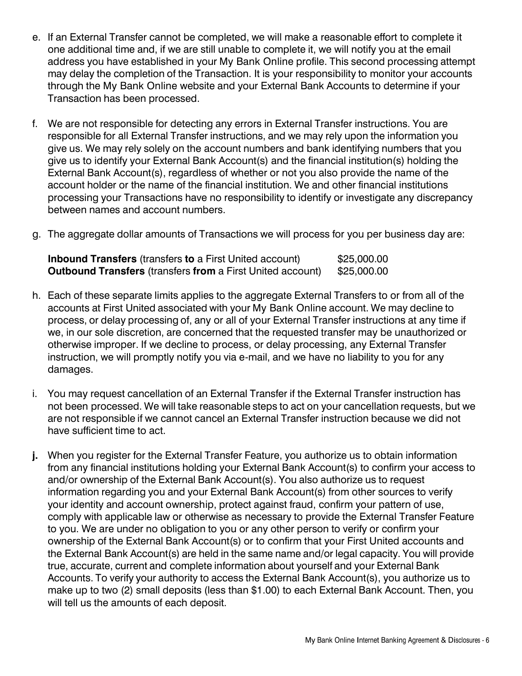- e. If an External Transfer cannot be completed, we will make a reasonable effort to complete it one additional time and, if we are still unable to complete it, we will notify you at the email address you have established in your My Bank Online profile. This second processing attempt may delay the completion of the Transaction. It is your responsibility to monitor your accounts through the My Bank Online website and your External Bank Accounts to determine if your Transaction has been processed.
- f. We are not responsible for detecting any errors in External Transfer instructions. You are responsible for all External Transfer instructions, and we may rely upon the information you give us. We may rely solely on the account numbers and bank identifying numbers that you give us to identify your External Bank Account(s) and the financial institution(s) holding the External Bank Account(s), regardless of whether or not you also provide the name of the account holder or the name of the financial institution. We and other financial institutions processing your Transactions have no responsibility to identify or investigate any discrepancy between names and account numbers.
- g. The aggregate dollar amounts of Transactions we will process for you per business day are:

| <b>Inbound Transfers</b> (transfers to a First United account)    | \$25,000.00 |
|-------------------------------------------------------------------|-------------|
| <b>Outbound Transfers (transfers from a First United account)</b> | \$25,000.00 |

- h. Each of these separate limits applies to the aggregate External Transfers to or from all of the accounts at First United associated with your My Bank Online account. We may decline to process, or delay processing of, any or all of your External Transfer instructions at any time if we, in our sole discretion, are concerned that the requested transfer may be unauthorized or otherwise improper. If we decline to process, or delay processing, any External Transfer instruction, we will promptly notify you via e-mail, and we have no liability to you for any damages.
- i. You may request cancellation of an External Transfer if the External Transfer instruction has not been processed. We will take reasonable steps to act on your cancellation requests, but we are not responsible if we cannot cancel an External Transfer instruction because we did not have sufficient time to act.
- **j.** When you register for the External Transfer Feature, you authorize us to obtain information from any financial institutions holding your External Bank Account(s) to confirm your access to and/or ownership of the External Bank Account(s). You also authorize us to request information regarding you and your External Bank Account(s) from other sources to verify your identity and account ownership, protect against fraud, confirm your pattern of use, comply with applicable law or otherwise as necessary to provide the External Transfer Feature to you. We are under no obligation to you or any other person to verify or confirm your ownership of the External Bank Account(s) or to confirm that your First United accounts and the External Bank Account(s) are held in the same name and/or legal capacity. You will provide true, accurate, current and complete information about yourself and your External Bank Accounts. To verify your authority to access the External Bank Account(s), you authorize us to make up to two (2) small deposits (less than \$1.00) to each External Bank Account. Then, you will tell us the amounts of each deposit.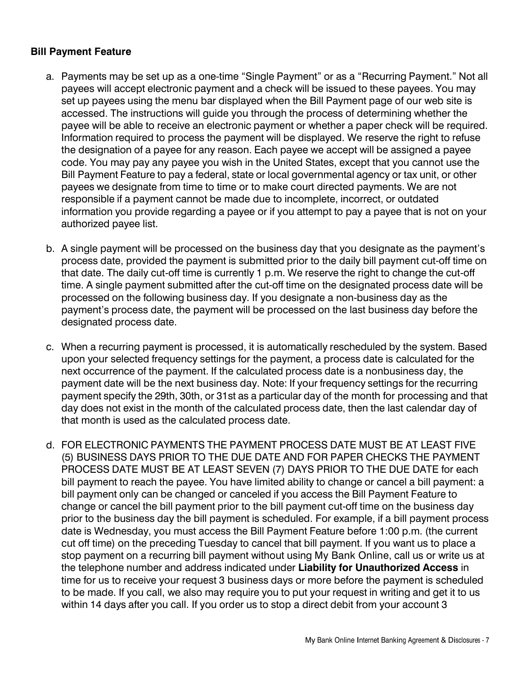#### **Bill Payment Feature**

- a. Payments may be set up as a one-time "Single Payment" or as a "Recurring Payment." Not all payees will accept electronic payment and a check will be issued to these payees. You may set up payees using the menu bar displayed when the Bill Payment page of our web site is accessed. The instructions will guide you through the process of determining whether the payee will be able to receive an electronic payment or whether a paper check will be required. Information required to process the payment will be displayed. We reserve the right to refuse the designation of a payee for any reason. Each payee we accept will be assigned a payee code. You may pay any payee you wish in the United States, except that you cannot use the Bill Payment Feature to pay a federal, state or local governmental agency or tax unit, or other payees we designate from time to time or to make court directed payments. We are not responsible if a payment cannot be made due to incomplete, incorrect, or outdated information you provide regarding a payee or if you attempt to pay a payee that is not on your authorized payee list.
- b. A single payment will be processed on the business day that you designate as the payment's process date, provided the payment is submitted prior to the daily bill payment cut-off time on that date. The daily cut-off time is currently 1 p.m. We reserve the right to change the cut-off time. A single payment submitted after the cut-off time on the designated process date will be processed on the following business day. If you designate a non-business day as the payment's process date, the payment will be processed on the last business day before the designated process date.
- c. When a recurring payment is processed, it is automatically rescheduled by the system. Based upon your selected frequency settings for the payment, a process date is calculated for the next occurrence of the payment. If the calculated process date is a nonbusiness day, the payment date will be the next business day. Note: If your frequency settings for the recurring payment specify the 29th, 30th, or 31st as a particular day of the month for processing and that day does not exist in the month of the calculated process date, then the last calendar day of that month is used as the calculated process date.
- d. FOR ELECTRONIC PAYMENTS THE PAYMENT PROCESS DATE MUST BE AT LEAST FIVE (5) BUSINESS DAYS PRIOR TO THE DUE DATE AND FOR PAPER CHECKS THE PAYMENT PROCESS DATE MUST BE AT LEAST SEVEN (7) DAYS PRIOR TO THE DUE DATE for each bill payment to reach the payee. You have limited ability to change or cancel a bill payment: a bill payment only can be changed or canceled if you access the Bill Payment Feature to change or cancel the bill payment prior to the bill payment cut-off time on the business day prior to the business day the bill payment is scheduled. For example, if a bill payment process date is Wednesday, you must access the Bill Payment Feature before 1:00 p.m. (the current cut off time) on the preceding Tuesday to cancel that bill payment. If you want us to place a stop payment on a recurring bill payment without using My Bank Online, call us or write us at the telephone number and address indicated under **Liability for Unauthorized Access** in time for us to receive your request 3 business days or more before the payment is scheduled to be made. If you call, we also may require you to put your request in writing and get it to us within 14 days after you call. If you order us to stop a direct debit from your account 3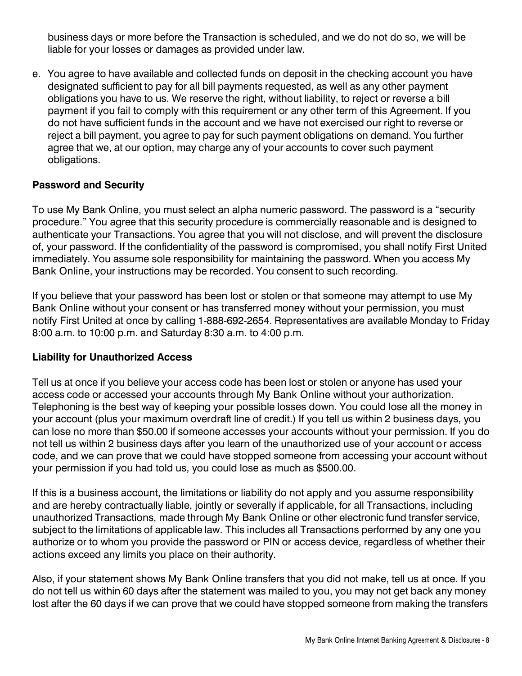business days or more before the Transaction is scheduled, and we do not do so, we will be liable for your losses or damages as provided under law.

e. You agree to have available and collected funds on deposit in the checking account you have designated sufficient to pay for all bill payments requested, as well as any other payment obligations you have to us. We reserve the right, without liability, to reject or reverse a bill payment if you fail to comply with this requirement or any other term of this Agreement. If you do not have sufficient funds in the account and we have not exercised our right to reverse or reject a bill payment, you agree to pay for such payment obligations on demand. You further agree that we, at our option, may charge any of your accounts to cover such payment obligations.

#### **Password and Security**

To use My Bank Online, you must select an alpha numeric password. The password is a "security procedure." You agree that this security procedure is commercially reasonable and is designed to authenticate your Transactions. You agree that you will not disclose, and will prevent the disclosure of, your password. If the confidentiality of the password is compromised, you shall notify First United immediately. You assume sole responsibility for maintaining the password. When you access My Bank Online, your instructions may be recorded. You consent to such recording.

If you believe that your password has been lost or stolen or that someone may attempt to use My Bank Online without your consent or has transferred money without your permission, you must notify First United at once by calling 1-888-692-2654. Representatives are available Monday to Friday 8:00 a.m. to 10:00 p.m. and Saturday 8:30 a.m. to 4:00 p.m.

#### **Liability for Unauthorized Access**

Tell us at once if you believe your access code has been lost or stolen or anyone has used your access code or accessed your accounts through My Bank Online without your authorization. Telephoning is the best way of keeping your possible losses down. You could lose all the money in your account (plus your maximum overdraft line of credit.) If you tell us within 2 business days, you can lose no more than \$50.00 if someone accesses your accounts without your permission. If you do not tell us within 2 business days after you learn of the unauthorized use of your account or access code, and we can prove that we could have stopped someone from accessing your account without your permission if you had told us, you could lose as much as \$500.00.

If this is a business account, the limitations or liability do not apply and you assume responsibility and are hereby contractually liable, jointly or severally if applicable, for all Transactions, including unauthorized Transactions, made through My Bank Online or other electronic fund transfer service, subject to the limitations of applicable law. This includes all Transactions performed by any one you authorize or to whom you provide the password or PIN or access device, regardless of whether their actions exceed any limits you place on their authority.

Also, if your statement shows My Bank Online transfers that you did not make, tell us at once. If you do not tell us within 60 days after the statement was mailed to you, you may not get back any money lost after the 60 days if we can prove that we could have stopped someone from making the transfers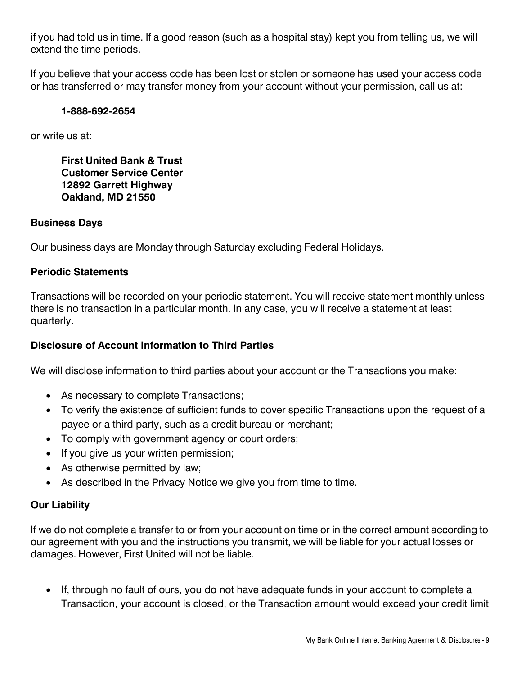if you had told us in time. If a good reason (such as a hospital stay) kept you from telling us, we will extend the time periods.

If you believe that your access code has been lost or stolen or someone has used your access code or has transferred or may transfer money from your account without your permission, call us at:

#### **1-888-692-2654**

or write us at:

**First United Bank & Trust Customer Service Center 12892 Garrett Highway Oakland, MD 21550**

#### **Business Days**

Our business days are Monday through Saturday excluding Federal Holidays.

#### **Periodic Statements**

Transactions will be recorded on your periodic statement. You will receive statement monthly unless there is no transaction in a particular month. In any case, you will receive a statement at least quarterly.

#### **Disclosure of Account Information to Third Parties**

We will disclose information to third parties about your account or the Transactions you make:

- As necessary to complete Transactions;
- To verify the existence of sufficient funds to cover specific Transactions upon the request of a payee or a third party, such as a credit bureau or merchant;
- To comply with government agency or court orders;
- If you give us your written permission;
- As otherwise permitted by law;
- As described in the Privacy Notice we give you from time to time.

#### **Our Liability**

If we do not complete a transfer to or from your account on time or in the correct amount according to our agreement with you and the instructions you transmit, we will be liable for your actual losses or damages. However, First United will not be liable.

• If, through no fault of ours, you do not have adequate funds in your account to complete a Transaction, your account is closed, or the Transaction amount would exceed your credit limit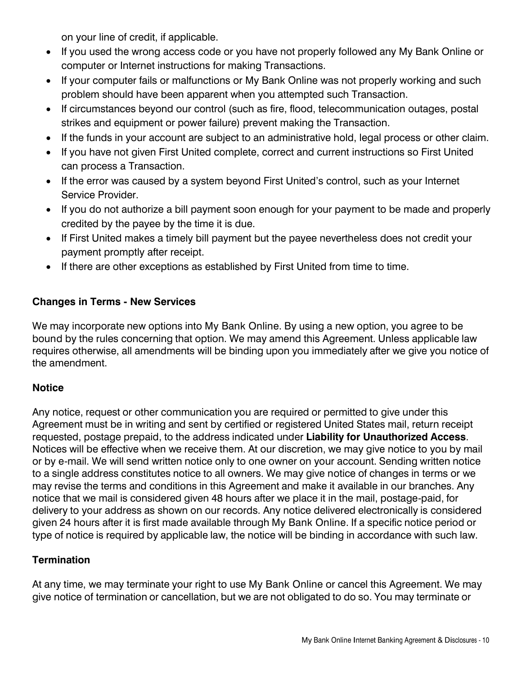on your line of credit, if applicable.

- If you used the wrong access code or you have not properly followed any My Bank Online or computer or Internet instructions for making Transactions.
- If your computer fails or malfunctions or My Bank Online was not properly working and such problem should have been apparent when you attempted such Transaction.
- If circumstances beyond our control (such as fire, flood, telecommunication outages, postal strikes and equipment or power failure) prevent making the Transaction.
- If the funds in your account are subject to an administrative hold, legal process or other claim.
- If you have not given First United complete, correct and current instructions so First United can process a Transaction.
- If the error was caused by a system beyond First United's control, such as your Internet Service Provider.
- If you do not authorize a bill payment soon enough for your payment to be made and properly credited by the payee by the time it is due.
- If First United makes a timely bill payment but the payee nevertheless does not credit your payment promptly after receipt.
- If there are other exceptions as established by First United from time to time.

## **Changes in Terms - New Services**

We may incorporate new options into My Bank Online. By using a new option, you agree to be bound by the rules concerning that option. We may amend this Agreement. Unless applicable law requires otherwise, all amendments will be binding upon you immediately after we give you notice of the amendment.

## **Notice**

Any notice, request or other communication you are required or permitted to give under this Agreement must be in writing and sent by certified or registered United States mail, return receipt requested, postage prepaid, to the address indicated under **Liability for Unauthorized Access**. Notices will be effective when we receive them. At our discretion, we may give notice to you by mail or by e-mail. We will send written notice only to one owner on your account. Sending written notice to a single address constitutes notice to all owners. We may give notice of changes in terms or we may revise the terms and conditions in this Agreement and make it available in our branches. Any notice that we mail is considered given 48 hours after we place it in the mail, postage-paid, for delivery to your address as shown on our records. Any notice delivered electronically is considered given 24 hours after it is first made available through My Bank Online. If a specific notice period or type of notice is required by applicable law, the notice will be binding in accordance with such law.

## **Termination**

At any time, we may terminate your right to use My Bank Online or cancel this Agreement. We may give notice of termination or cancellation, but we are not obligated to do so. You may terminate or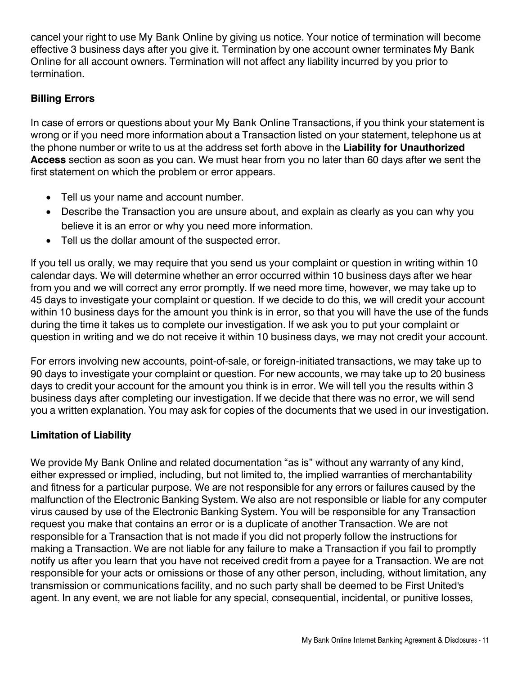cancel your right to use My Bank Online by giving us notice. Your notice of termination will become effective 3 business days after you give it. Termination by one account owner terminates My Bank Online for all account owners. Termination will not affect any liability incurred by you prior to termination.

## **Billing Errors**

In case of errors or questions about your My Bank Online Transactions, if you think your statement is wrong or if you need more information about a Transaction listed on your statement, telephone us at the phone number or write to us at the address set forth above in the **Liability for Unauthorized Access** section as soon as you can. We must hear from you no later than 60 days after we sent the first statement on which the problem or error appears.

- Tell us your name and account number.
- Describe the Transaction you are unsure about, and explain as clearly as you can why you believe it is an error or why you need more information.
- Tell us the dollar amount of the suspected error.

If you tell us orally, we may require that you send us your complaint or question in writing within 10 calendar days. We will determine whether an error occurred within 10 business days after we hear from you and we will correct any error promptly. If we need more time, however, we may take up to 45 days to investigate your complaint or question. If we decide to do this, we will credit your account within 10 business days for the amount you think is in error, so that you will have the use of the funds during the time it takes us to complete our investigation. If we ask you to put your complaint or question in writing and we do not receive it within 10 business days, we may not credit your account.

For errors involving new accounts, point-of-sale, or foreign-initiated transactions, we may take up to 90 days to investigate your complaint or question. For new accounts, we may take up to 20 business days to credit your account for the amount you think is in error. We will tell you the results within 3 business days after completing our investigation. If we decide that there was no error, we will send you a written explanation. You may ask for copies of the documents that we used in our investigation.

## **Limitation of Liability**

We provide My Bank Online and related documentation "as is" without any warranty of any kind, either expressed or implied, including, but not limited to, the implied warranties of merchantability and fitness for a particular purpose. We are not responsible for any errors or failures caused by the malfunction of the Electronic Banking System. We also are not responsible or liable for any computer virus caused by use of the Electronic Banking System. You will be responsible for any Transaction request you make that contains an error or is a duplicate of another Transaction. We are not responsible for a Transaction that is not made if you did not properly follow the instructions for making a Transaction. We are not liable for any failure to make a Transaction if you fail to promptly notify us after you learn that you have not received credit from a payee for a Transaction. We are not responsible for your acts or omissions or those of any other person, including, without limitation, any transmission or communications facility, and no such party shall be deemed to be First United's agent. In any event, we are not liable for any special, consequential, incidental, or punitive losses,